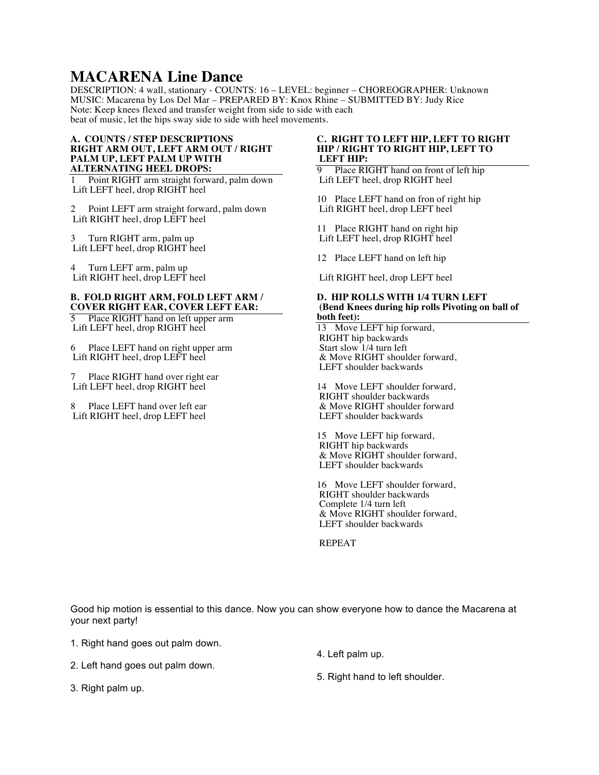# **MACARENA Line Dance**

DESCRIPTION: 4 wall, stationary - COUNTS: 16 – LEVEL: beginner – CHOREOGRAPHER: Unknown MUSIC: Macarena by Los Del Mar – PREPARED BY: Knox Rhine – SUBMITTED BY: Judy Rice Note: Keep knees flexed and transfer weight from side to side with each beat of music, let the hips sway side to side with heel movements.

#### **A. COUNTS / STEP DESCRIPTIONS RIGHT ARM OUT, LEFT ARM OUT / RIGHT PALM UP, LEFT PALM UP WITH ALTERNATING HEEL DROPS:**

1 Point RIGHT arm straight forward, palm down Lift LEFT heel, drop RIGHT heel

2 Point LEFT arm straight forward, palm down Lift RIGHT heel, drop LEFT heel

3 Turn RIGHT arm, palm up Lift LEFT heel, drop RIGHT heel

4 Turn LEFT arm, palm up Lift RIGHT heel, drop LEFT heel

#### **B. FOLD RIGHT ARM, FOLD LEFT ARM / COVER RIGHT EAR, COVER LEFT EAR:**

Place RIGHT hand on left upper arm Lift LEFT heel, drop RIGHT heel

6 Place LEFT hand on right upper arm Lift RIGHT heel, drop LEFT heel

Place RIGHT hand over right ear Lift LEFT heel, drop RIGHT heel

Place LEFT hand over left ear Lift RIGHT heel, drop LEFT heel

## **C. RIGHT TO LEFT HIP, LEFT TO RIGHT HIP / RIGHT TO RIGHT HIP, LEFT TO LEFT HIP:**

9 Place RIGHT hand on front of left hip Lift LEFT heel, drop RIGHT heel

10 Place LEFT hand on fron of right hip Lift RIGHT heel, drop LEFT heel

11 Place RIGHT hand on right hip Lift LEFT heel, drop RIGHT heel

12 Place LEFT hand on left hip

Lift RIGHT heel, drop LEFT heel

## **D. HIP ROLLS WITH 1/4 TURN LEFT (Bend Knees during hip rolls Pivoting on ball of both feet):**

13 Move LEFT hip forward, RIGHT hip backwards Start slow 1/4 turn left & Move RIGHT shoulder forward, LEFT shoulder backwards

14 Move LEFT shoulder forward, RIGHT shoulder backwards & Move RIGHT shoulder forward LEFT shoulder backwards

15 Move LEFT hip forward, RIGHT hip backwards & Move RIGHT shoulder forward, LEFT shoulder backwards

16 Move LEFT shoulder forward, RIGHT shoulder backwards Complete 1/4 turn left & Move RIGHT shoulder forward, LEFT shoulder backwards

REPEAT

Good hip motion is essential to this dance. Now you can show everyone how to dance the Macarena at your next party!

1. Right hand goes out palm down.

2. Left hand goes out palm down.

4. Left palm up.

3. Right palm up.

5. Right hand to left shoulder.